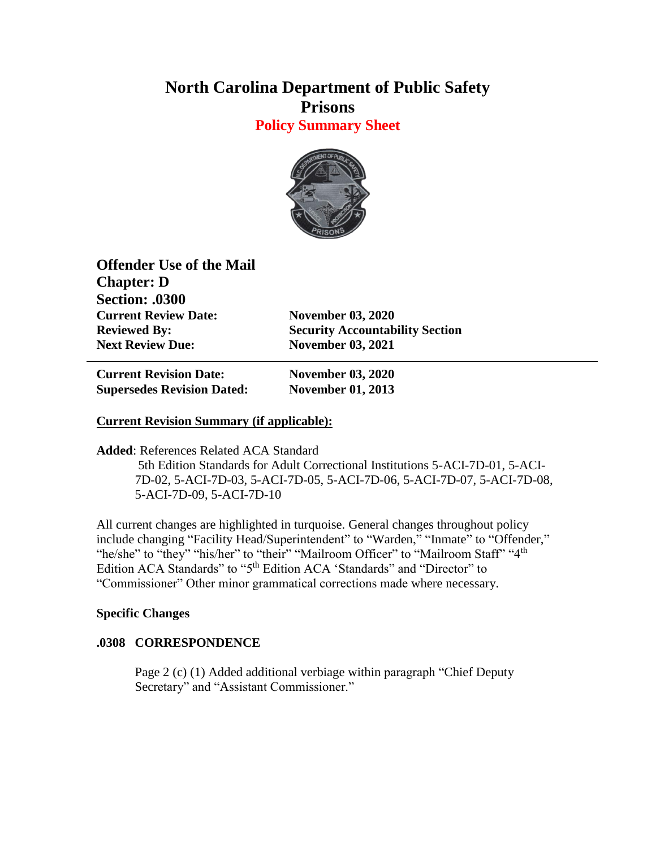# **North Carolina Department of Public Safety Prisons**

**Policy Summary Sheet**



**Offender Use of the Mail Chapter: D Section: .0300 Current Review Date: November 03, 2020 Next Review Due: November 03, 2021**

**Reviewed By: Security Accountability Section** 

**Current Revision Date: November 03, 2020 Supersedes Revision Dated: November 01, 2013**

### **Current Revision Summary (if applicable):**

**Added**: References Related ACA Standard

5th Edition Standards for Adult Correctional Institutions 5-ACI-7D-01, 5-ACI-7D-02, 5-ACI-7D-03, 5-ACI-7D-05, 5-ACI-7D-06, 5-ACI-7D-07, 5-ACI-7D-08, 5-ACI-7D-09, 5-ACI-7D-10

All current changes are highlighted in turquoise. General changes throughout policy include changing "Facility Head/Superintendent" to "Warden," "Inmate" to "Offender," "he/she" to "they" "his/her" to "their" "Mailroom Officer" to "Mailroom Staff" "4<sup>th</sup> Edition ACA Standards" to "5<sup>th</sup> Edition ACA 'Standards" and "Director" to "Commissioner" Other minor grammatical corrections made where necessary.

#### **Specific Changes**

#### **.0308 CORRESPONDENCE**

Page 2 (c) (1) Added additional verbiage within paragraph "Chief Deputy Secretary" and "Assistant Commissioner."